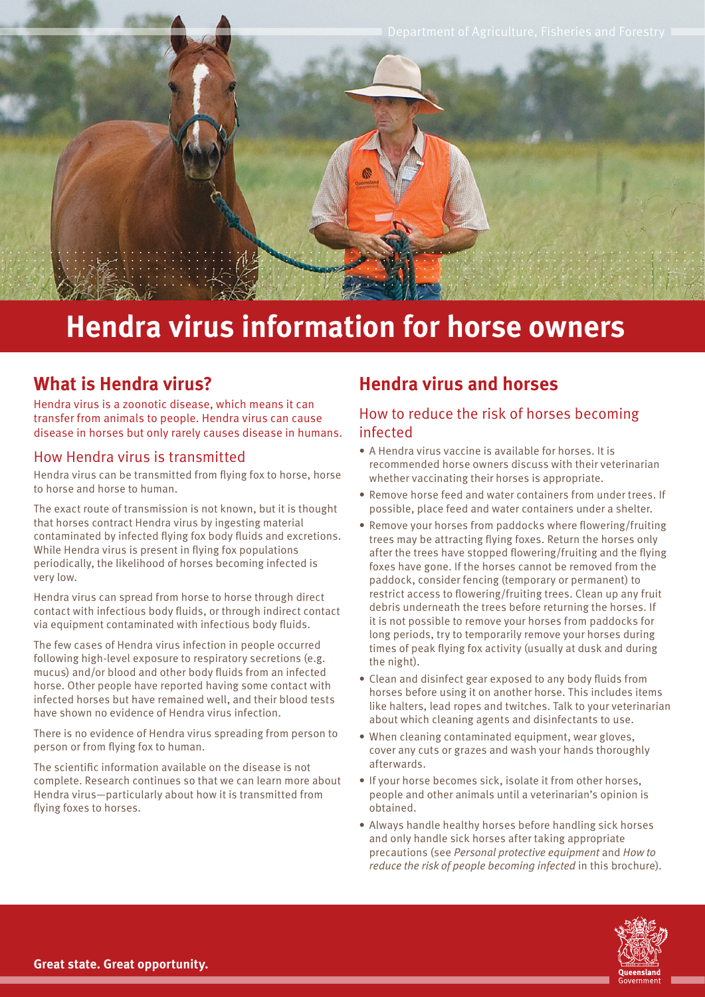

# **Hendra virus information for horse owners**

## **What is Hendra virus?**

Hendra virus is a zoonotic disease, which means it can transfer from animals to people. Hendra virus can cause disease in horses but only rarely causes disease in humans.

### How Hendra virus is transmitted

Hendra virus can be transmitted from flying fox to horse, horse to horse and horse to human.

The exact route of transmission is not known, but it is thought that horses contract Hendra virus by ingesting material contaminated by infected flying fox body fluids and excretions. While Hendra virus is present in flying fox populations periodically, the likelihood of horses becoming infected is very low.

Hendra virus can spread from horse to horse through direct contact with infectious body fluids, or through indirect contact via equipment contaminated with infectious body fluids.

The few cases of Hendra virus infection in people occurred following high-level exposure to respiratory secretions (e.g. mucus) and/or blood and other body fluids from an infected horse. Other people have reported having some contact with infected horses but have remained well, and their blood tests have shown no evidence of Hendra virus infection.

There is no evidence of Hendra virus spreading from person to person or from flying fox to human.

The scientific information available on the disease is not complete. Research continues so that we can learn more about Hendra virus—particularly about how it is transmitted from flying foxes to horses.

### **Hendra virus and horses**

#### How to reduce the risk of horses becoming infected

- A Hendra virus vaccine is available for horses. It is recommended horse owners discuss with their veterinarian whether vaccinating their horses is appropriate.
- Remove horse feed and water containers from under trees. If possible, place feed and water containers under a shelter.
- Remove your horses from paddocks where flowering/fruiting trees may be attracting flying foxes. Return the horses only after the trees have stopped flowering/fruiting and the flying foxes have gone. If the horses cannot be removed from the paddock, consider fencing (temporary or permanent) to restrict access to flowering/fruiting trees. Clean up any fruit debris underneath the trees before returning the horses. If it is not possible to remove your horses from paddocks for long periods, try to temporarily remove your horses during times of peak flying fox activity (usually at dusk and during the night).
- Clean and disinfect gear exposed to any body fluids from horses before using it on another horse. This includes items like halters, lead ropes and twitches. Talk to your veterinarian about which cleaning agents and disinfectants to use.
- • When cleaning contaminated equipment, wear gloves, cover any cuts or grazes and wash your hands thoroughly afterwards.
- If your horse becomes sick, isolate it from other horses, people and other animals until a veterinarian's opinion is obtained.
- Always handle healthy horses before handling sick horses and only handle sick horses after taking appropriate precautions (see *Personal protective equipment* and *How to reduce the risk of people becoming infected* in this brochure).

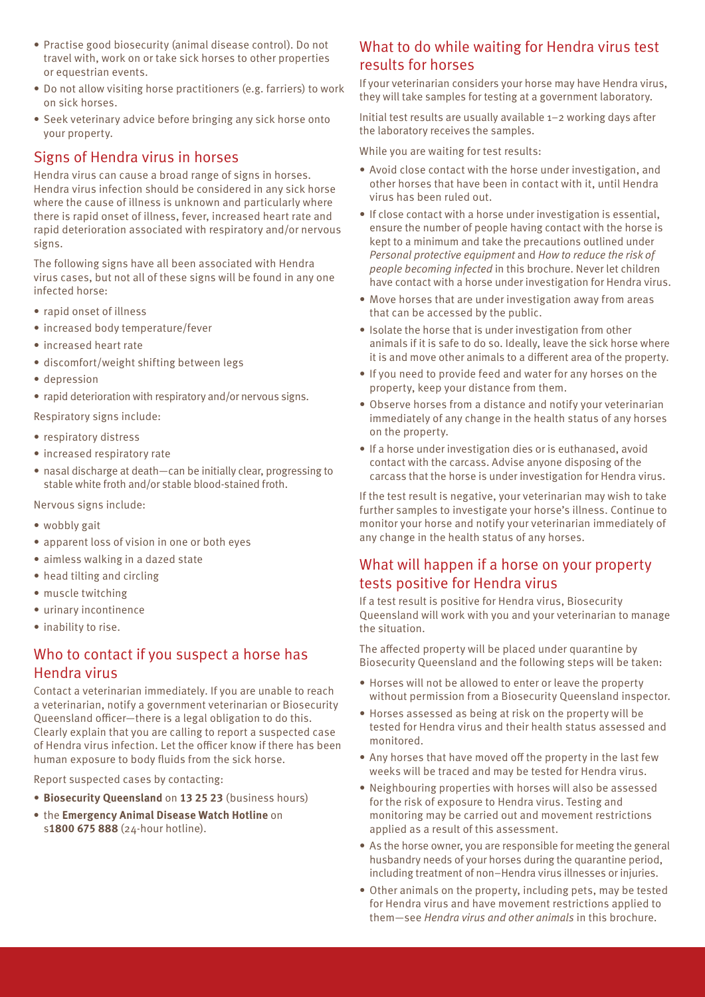- Practise good biosecurity (animal disease control). Do not travel with, work on or take sick horses to other properties or equestrian events.
- Do not allow visiting horse practitioners (e.g. farriers) to work on sick horses.
- Seek veterinary advice before bringing any sick horse onto your property.

#### Signs of Hendra virus in horses

Hendra virus can cause a broad range of signs in horses. Hendra virus infection should be considered in any sick horse where the cause of illness is unknown and particularly where there is rapid onset of illness, fever, increased heart rate and rapid deterioration associated with respiratory and/or nervous signs.

The following signs have all been associated with Hendra virus cases, but not all of these signs will be found in any one infected horse:

- rapid onset of illness
- increased body temperature/fever
- • increased heart rate
- discomfort/weight shifting between legs
- • depression
- rapid deterioration with respiratory and/or nervous signs.

Respiratory signs include:

- respiratory distress
- increased respiratory rate
- nasal discharge at death-can be initially clear, progressing to stable white froth and/or stable blood-stained froth.

Nervous signs include:

- wobbly gait
- apparent loss of vision in one or both eyes
- aimless walking in a dazed state
- head tilting and circling
- muscle twitching
- urinary incontinence
- inability to rise.

### Who to contact if you suspect a horse has Hendra virus

Contact a veterinarian immediately. If you are unable to reach a veterinarian, notify a government veterinarian or Biosecurity Queensland officer—there is a legal obligation to do this. Clearly explain that you are calling to report a suspected case of Hendra virus infection. Let the officer know if there has been human exposure to body fluids from the sick horse.

Report suspected cases by contacting:

- • **Biosecurity Queensland** on **13 25 23** (business hours)
- **•**  the **Emergency Animal Disease Watch Hotline** on s**1800 675 888** (24-hour hotline).

### What to do while waiting for Hendra virus test results for horses

If your veterinarian considers your horse may have Hendra virus, they will take samples for testing at a government laboratory.

Initial test results are usually available 1–2 working days after the laboratory receives the samples.

While you are waiting for test results:

- Avoid close contact with the horse under investigation, and other horses that have been in contact with it, until Hendra virus has been ruled out.
- If close contact with a horse under investigation is essential, ensure the number of people having contact with the horse is kept to a minimum and take the precautions outlined under *Personal protective equipment* and *How to reduce the risk of people becoming infected* in this brochure. Never let children have contact with a horse under investigation for Hendra virus.
- Move horses that are under investigation away from areas that can be accessed by the public.
- Isolate the horse that is under investigation from other animals if it is safe to do so. Ideally, leave the sick horse where it is and move other animals to a different area of the property.
- If you need to provide feed and water for any horses on the property, keep your distance from them.
- Observe horses from a distance and notify your veterinarian immediately of any change in the health status of any horses on the property.
- If a horse under investigation dies or is euthanased, avoid contact with the carcass. Advise anyone disposing of the carcass that the horse is under investigation for Hendra virus.

If the test result is negative, your veterinarian may wish to take further samples to investigate your horse's illness. Continue to monitor your horse and notify your veterinarian immediately of any change in the health status of any horses.

### What will happen if a horse on your property tests positive for Hendra virus

If a test result is positive for Hendra virus, Biosecurity Queensland will work with you and your veterinarian to manage the situation.

The affected property will be placed under quarantine by Biosecurity Queensland and the following steps will be taken:

- Horses will not be allowed to enter or leave the property without permission from a Biosecurity Queensland inspector.
- Horses assessed as being at risk on the property will be tested for Hendra virus and their health status assessed and monitored.
- Any horses that have moved off the property in the last few weeks will be traced and may be tested for Hendra virus.
- • Neighbouring properties with horses will also be assessed for the risk of exposure to Hendra virus. Testing and monitoring may be carried out and movement restrictions applied as a result of this assessment.
- As the horse owner, you are responsible for meeting the general husbandry needs of your horses during the quarantine period, including treatment of non–Hendra virus illnesses or injuries.
- Other animals on the property, including pets, may be tested for Hendra virus and have movement restrictions applied to them—see *Hendra virus and other animals* in this brochure.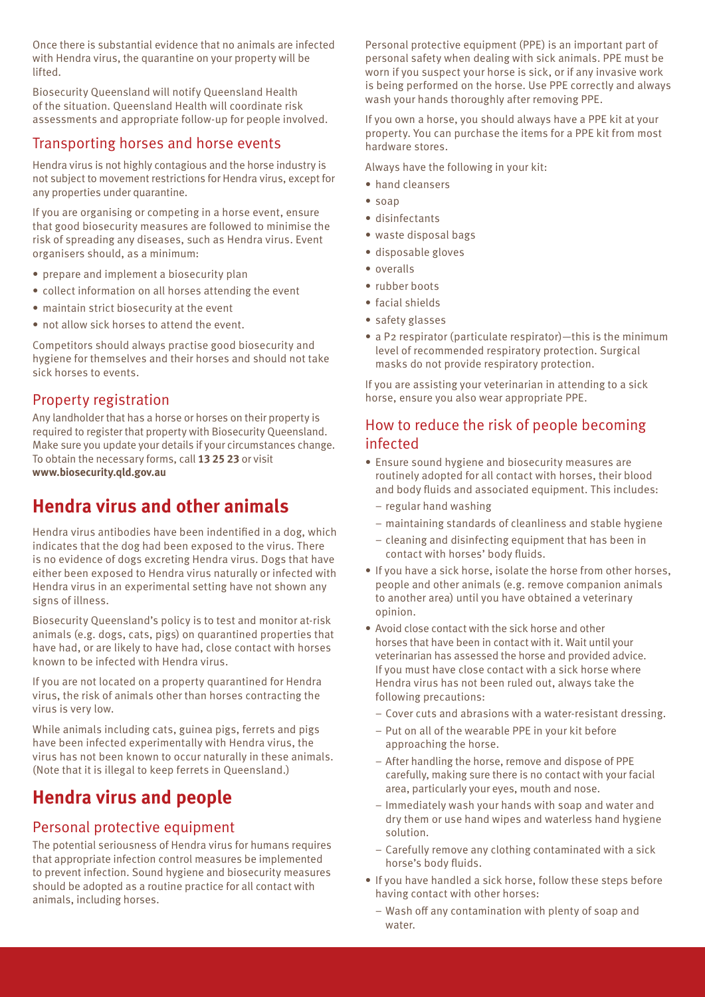Once there is substantial evidence that no animals are infected with Hendra virus, the quarantine on your property will be lifted.

Biosecurity Queensland will notify Queensland Health of the situation. Queensland Health will coordinate risk assessments and appropriate follow-up for people involved.

#### Transporting horses and horse events

Hendra virus is not highly contagious and the horse industry is not subject to movement restrictions for Hendra virus, except for any properties under quarantine.

If you are organising or competing in a horse event, ensure that good biosecurity measures are followed to minimise the risk of spreading any diseases, such as Hendra virus. Event organisers should, as a minimum:

- prepare and implement a biosecurity plan
- • collect information on all horses attending the event
- maintain strict biosecurity at the event
- not allow sick horses to attend the event.

Competitors should always practise good biosecurity and hygiene for themselves and their horses and should not take sick horses to events.

#### Property registration

Any landholder that has a horse or horses on their property is required to register that property with Biosecurity Queensland. Make sure you update your details if your circumstances change. To obtain the necessary forms, call **13 25 23** or visit **www.biosecurity.qld.gov.au**

# **Hendra virus and other animals**

Hendra virus antibodies have been indentified in a dog, which indicates that the dog had been exposed to the virus. There is no evidence of dogs excreting Hendra virus. Dogs that have either been exposed to Hendra virus naturally or infected with Hendra virus in an experimental setting have not shown any signs of illness.

Biosecurity Queensland's policy is to test and monitor at-risk animals (e.g. dogs, cats, pigs) on quarantined properties that have had, or are likely to have had, close contact with horses known to be infected with Hendra virus.

If you are not located on a property quarantined for Hendra virus, the risk of animals other than horses contracting the virus is very low.

While animals including cats, guinea pigs, ferrets and pigs have been infected experimentally with Hendra virus, the virus has not been known to occur naturally in these animals. (Note that it is illegal to keep ferrets in Queensland.)

# **Hendra virus and people**

### Personal protective equipment

The potential seriousness of Hendra virus for humans requires that appropriate infection control measures be implemented to prevent infection. Sound hygiene and biosecurity measures should be adopted as a routine practice for all contact with animals, including horses.

Personal protective equipment (PPE) is an important part of personal safety when dealing with sick animals. PPE must be worn if you suspect your horse is sick, or if any invasive work is being performed on the horse. Use PPE correctly and always wash your hands thoroughly after removing PPE.

If you own a horse, you should always have a PPE kit at your property. You can purchase the items for a PPE kit from most hardware stores.

Always have the following in your kit:

- hand cleansers
- soap
- • disinfectants
- • waste disposal bags
- • disposable gloves
- overalls
- • rubber boots
- • facial shields
- safety glasses
- a P2 respirator (particulate respirator)—this is the minimum level of recommended respiratory protection. Surgical masks do not provide respiratory protection.

If you are assisting your veterinarian in attending to a sick horse, ensure you also wear appropriate PPE.

### How to reduce the risk of people becoming infected

- Ensure sound hygiene and biosecurity measures are routinely adopted for all contact with horses, their blood and body fluids and associated equipment. This includes:
	- regular hand washing
	- maintaining standards of cleanliness and stable hygiene
	- cleaning and disinfecting equipment that has been in contact with horses' body fluids.
- If you have a sick horse, isolate the horse from other horses, people and other animals (e.g. remove companion animals to another area) until you have obtained a veterinary opinion.
- Avoid close contact with the sick horse and other horses that have been in contact with it. Wait until your veterinarian has assessed the horse and provided advice. If you must have close contact with a sick horse where Hendra virus has not been ruled out, always take the following precautions:
	- Cover cuts and abrasions with a water-resistant dressing.
	- Put on all of the wearable PPE in your kit before approaching the horse.
	- After handling the horse, remove and dispose of PPE carefully, making sure there is no contact with your facial area, particularly your eyes, mouth and nose.
	- Immediately wash your hands with soap and water and dry them or use hand wipes and waterless hand hygiene solution.
	- Carefully remove any clothing contaminated with a sick horse's body fluids.
- If you have handled a sick horse, follow these steps before having contact with other horses:
	- Wash off any contamination with plenty of soap and water.